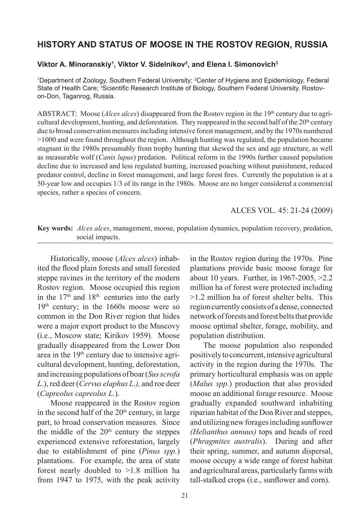## **HISTORY AND STATUS OF MOOSE IN THE ROSTOV REGION, RUSSIA**

## **Viktor A. Minoranskiy1 , Viktor V. Sidelnikov2 , and Elena I. Simonovich3**

1 Department of Zoology, Southern Federal University; 2 Center of Hygiene and Epidemiology, Federal State of Health Care; 3 Scientific Research Institute of Biology, Southern Federal University. Rostovon-Don, Taganrog, Russia.

ABSTRACT: Moose (*Alces alces*) disappeared from the Rostov region in the 19<sup>th</sup> century due to agricultural development, hunting, and deforestation. They reappeared in the second half of the  $20<sup>th</sup>$  century due to broad conservation measures including intensive forest management, and by the 1970s numbered >1000 and were found throughout the region. Although hunting was regulated, the population became stagnant in the 1980s presumably from trophy hunting that skewed the sex and age structure, as well as measurable wolf (*Canis lupus*) predation. Political reform in the 1990s further caused population decline due to increased and less regulated hunting, increased poaching without punishment, reduced predator control, decline in forest management, and large forest fires. Currently the population is at a 50-year low and occupies 1/3 of its range in the 1980s. Moose are no longer considered a commercial species, rather a species of concern.

ALCES VOL. 45: 21-24 (2009)

**Key words:** *Alces alces*, management, moose, population dynamics, population recovery, predation, social impacts.

Historically, moose (*Alces alces*) inhabited the flood plain forests and small forested steppe ravines in the territory of the modern Rostov region. Moose occupied this region in the  $17<sup>th</sup>$  and  $18<sup>th</sup>$  centuries into the early 19th century; in the 1660s moose were so common in the Don River region that hides were a major export product to the Muscovy (i.e., Moscow state; Kirikov 1959). Moose gradually disappeared from the Lower Don area in the 19<sup>th</sup> century due to intensive agricultural development, hunting, deforestation, and increasing populations of boar (*Sus scrofa L*.), red deer (*Cervus elaphus L.),* and roe deer (*Capreolus capreolus L.*).

Moose reappeared in the Rostov region in the second half of the  $20<sup>th</sup>$  century, in large part, to broad conservation measures. Since the middle of the 20<sup>th</sup> century the steppes experienced extensive reforestation, largely due to establishment of pine (*Pinus spp.*) plantations. For example, the area of state forest nearly doubled to >1.8 million ha from 1947 to 1975, with the peak activity in the Rostov region during the 1970s. Pine plantations provide basic moose forage for about 10 years. Further, in 1967-2005, >2.2 million ha of forest were protected including >1.2 million ha of forest shelter belts. This region currently consists of a dense, connected network of forests and forest belts that provide moose optimal shelter, forage, mobility, and population distribution.

The moose population also responded positively to concurrent, intensive agricultural activity in the region during the 1970s. The primary horticultural emphasis was on apple (*Malus spp.*) production that also provided moose an additional forage resource. Moose gradually expanded southward inhabiting riparian habitat of the Don River and steppes, and utilizing new forages including sunflower *(Helianthus annuus)* tops and heads of reed (*Phragmites australis*). During and after their spring, summer, and autumn dispersal, moose occupy a wide range of forest habitat and agricultural areas, particularly farms with tall-stalked crops (i.e., sunflower and corn).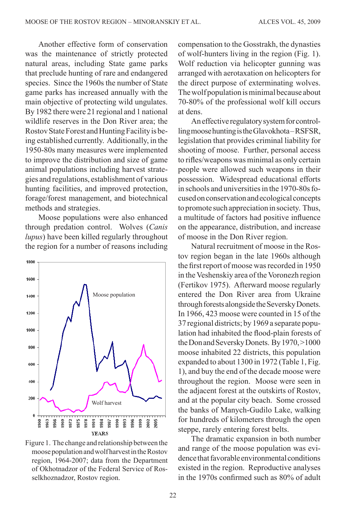Another effective form of conservation was the maintenance of strictly protected natural areas, including State game parks that preclude hunting of rare and endangered species. Since the 1960s the number of State game parks has increased annually with the main objective of protecting wild ungulates. By 1982 there were 21 regional and 1 national wildlife reserves in the Don River area; the Rostov State Forest and Hunting Facility is being established currently. Additionally, in the 1950-80s many measures were implemented to improve the distribution and size of game animal populations including harvest strategies and regulations, establishment of various hunting facilities, and improved protection, forage/forest management, and biotechnical methods and strategies.

Moose populations were also enhanced through predation control. Wolves (*Canis lupus*) have been killed regularly throughout the region for a number of reasons including



Figure 1. The change and relationship between the moose population and wolf harvest in the Rostov region, 1964-2007; data from the Department of Okhotnadzor of the Federal Service of Rosselkhoznadzor, Rostov region.

compensation to the Gosstrakh, the dynasties of wolf-hunters living in the region (Fig. 1). Wolf reduction via helicopter gunning was arranged with aerotaxation on helicopters for the direct purpose of exterminating wolves. The wolf population is minimal because about 70-80% of the professional wolf kill occurs at dens.

An effective regulatory system for controlling moose hunting is the Glavokhota – RSFSR, legislation that provides criminal liability for shooting of moose. Further, personal access to rifles/weapons was minimal as only certain people were allowed such weapons in their possession. Widespread educational efforts in schools and universities in the 1970-80s focused on conservation and ecological concepts to promote such appreciation in society. Thus, a multitude of factors had positive influence on the appearance, distribution, and increase of moose in the Don River region.

Natural recruitment of moose in the Rostov region began in the late 1960s although the first report of moose was recorded in 1950 in the Veshenskiy area of the Voronezh region (Fertikov 1975). Afterward moose regularly entered the Don River area from Ukraine through forests alongside the Seversky Donets. In 1966, 423 moose were counted in 15 of the 37 regional districts; by 1969 a separate population had inhabited the flood-plain forests of the Don and Seversky Donets. By 1970, >1000 moose inhabited 22 districts, this population expanded to about 1300 in 1972 (Table 1, Fig. 1), and buy the end of the decade moose were throughout the region. Moose were seen in the adjacent forest at the outskirts of Rostov, and at the popular city beach. Some crossed the banks of Manych-Gudilo Lake, walking for hundreds of kilometers through the open steppe, rarely entering forest belts.

The dramatic expansion in both number and range of the moose population was evidence that favorable environmental conditions existed in the region. Reproductive analyses in the 1970s confirmed such as 80% of adult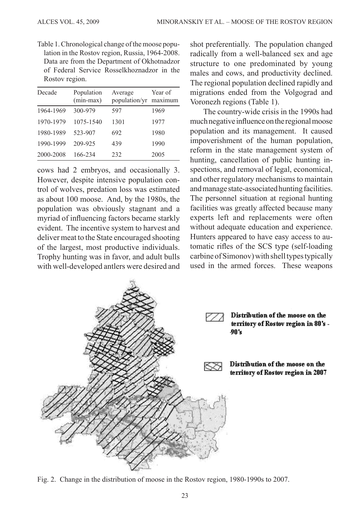Table 1. Chronological change of the moose population in the Rostov region, Russia, 1964-2008. Data are from the Department of Okhotnadzor of Federal Service Rosselkhoznadzor in the Rostov region.

| Decade    | Population<br>$(min-max)$ | Average<br>population/yr | Year of<br>maximum |
|-----------|---------------------------|--------------------------|--------------------|
| 1964-1969 | 300-979                   | 597                      | 1969               |
| 1970-1979 | 1075-1540                 | 1301                     | 1977               |
| 1980-1989 | 523-907                   | 692                      | 1980               |
| 1990-1999 | 209-925                   | 439                      | 1990               |
| 2000-2008 | 166-234                   | 232                      | 2005               |

cows had 2 embryos, and occasionally 3. However, despite intensive population control of wolves, predation loss was estimated as about 100 moose. And, by the 1980s, the population was obviously stagnant and a myriad of influencing factors became starkly evident. The incentive system to harvest and deliver meat to the State encouraged shooting of the largest, most productive individuals. Trophy hunting was in favor, and adult bulls with well-developed antlers were desired and shot preferentially. The population changed radically from a well-balanced sex and age structure to one predominated by young males and cows, and productivity declined. The regional population declined rapidly and migrations ended from the Volgograd and Voronezh regions (Table 1).

The country-wide crisis in the 1990s had much negative influence on the regional moose population and its management. It caused impoverishment of the human population, reform in the state management system of hunting, cancellation of public hunting inspections, and removal of legal, economical, and other regulatory mechanisms to maintain and manage state-associated hunting facilities. The personnel situation at regional hunting facilities was greatly affected because many experts left and replacements were often without adequate education and experience. Hunters appeared to have easy access to automatic rifles of the SCS type (self-loading carbine of Simonov) with shell types typically used in the armed forces. These weapons



Fig. 2. Change in the distribution of moose in the Rostov region, 1980-1990s to 2007.